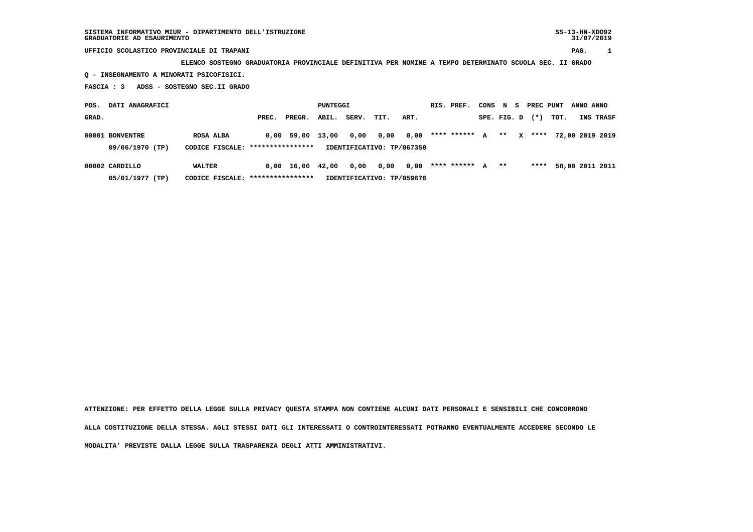## **UFFICIO SCOLASTICO PROVINCIALE DI TRAPANI PAG. 1**

 **ELENCO SOSTEGNO GRADUATORIA PROVINCIALE DEFINITIVA PER NOMINE A TEMPO DETERMINATO SCUOLA SEC. II GRADO**

 **Q - INSEGNAMENTO A MINORATI PSICOFISICI.**

 **FASCIA : 3 ADSS - SOSTEGNO SEC.II GRADO**

| DATI ANAGRAFICI<br>POS. |                                                                                  |           |       | PUNTEGGI     |       |       |      |      | RIS. PREF. | CONS        |   |             |   | N S PRECPUNT | ANNO ANNO |  |                 |
|-------------------------|----------------------------------------------------------------------------------|-----------|-------|--------------|-------|-------|------|------|------------|-------------|---|-------------|---|--------------|-----------|--|-----------------|
| GRAD.                   |                                                                                  |           | PREC. | PREGR.       | ABIL. | SERV. | TIT. | ART. |            |             |   | SPE. FIG. D |   | $(* )$       | TOT.      |  | INS TRASF       |
| 00001 BONVENTRE         |                                                                                  | ROSA ALBA |       | $0.00$ 59.00 | 13,00 | 0,00  | 0,00 | 0,00 |            | **** ****** | A | **          | x | ****         |           |  | 72,00 2019 2019 |
|                         | 09/06/1970 (TP)<br>CODICE FISCALE: ****************<br>IDENTIFICATIVO: TP/067350 |           |       |              |       |       |      |      |            |             |   |             |   |              |           |  |                 |
| 00002 CARDILLO          |                                                                                  | WALTER    | 0,00  | 16,00        | 42,00 | 0,00  | 0,00 | 0,00 |            | **** ****** | A | $***$       |   | ****         |           |  | 58,00 2011 2011 |

 **05/01/1977 (TP) CODICE FISCALE: \*\*\*\*\*\*\*\*\*\*\*\*\*\*\*\* IDENTIFICATIVO: TP/059676**

 **ATTENZIONE: PER EFFETTO DELLA LEGGE SULLA PRIVACY QUESTA STAMPA NON CONTIENE ALCUNI DATI PERSONALI E SENSIBILI CHE CONCORRONO**

 **ALLA COSTITUZIONE DELLA STESSA. AGLI STESSI DATI GLI INTERESSATI O CONTROINTERESSATI POTRANNO EVENTUALMENTE ACCEDERE SECONDO LE**

 **MODALITA' PREVISTE DALLA LEGGE SULLA TRASPARENZA DEGLI ATTI AMMINISTRATIVI.**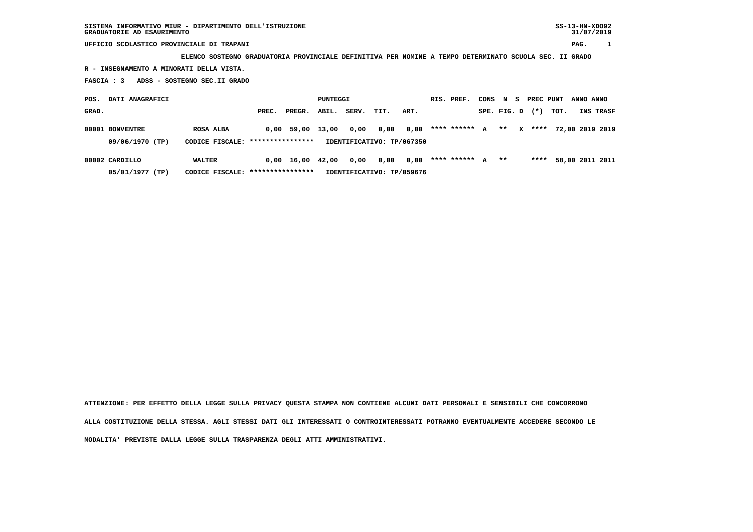**UFFICIO SCOLASTICO PROVINCIALE DI TRAPANI PAG. 1**

 **ELENCO SOSTEGNO GRADUATORIA PROVINCIALE DEFINITIVA PER NOMINE A TEMPO DETERMINATO SCUOLA SEC. II GRADO**

 **R - INSEGNAMENTO A MINORATI DELLA VISTA.**

 **FASCIA : 3 ADSS - SOSTEGNO SEC.II GRADO**

 **POS. DATI ANAGRAFICI CONSTANT PUNTEGGI RIS. PREF. CONS N S PREC PUNT ANNO ANNO GRAD. PREC. PREGR. ABIL. SERV. TIT. ART. SPE. FIG. D (\*) TOT. INS TRASF 00001 BONVENTRE ROSA ALBA 0,00 59,00 13,00 0,00 0,00 0,00 \*\*\*\* \*\*\*\*\*\* A \*\* X \*\*\*\* 72,00 2019 2019 09/06/1970 (TP) CODICE FISCALE: \*\*\*\*\*\*\*\*\*\*\*\*\*\*\*\* IDENTIFICATIVO: TP/067350 00002 CARDILLO WALTER 0,00 16,00 42,00 0,00 0,00 0,00 \*\*\*\* \*\*\*\*\*\* A \*\* \*\*\*\* 58,00 2011 2011**

 **05/01/1977 (TP) CODICE FISCALE: \*\*\*\*\*\*\*\*\*\*\*\*\*\*\*\* IDENTIFICATIVO: TP/059676**

 **ATTENZIONE: PER EFFETTO DELLA LEGGE SULLA PRIVACY QUESTA STAMPA NON CONTIENE ALCUNI DATI PERSONALI E SENSIBILI CHE CONCORRONO ALLA COSTITUZIONE DELLA STESSA. AGLI STESSI DATI GLI INTERESSATI O CONTROINTERESSATI POTRANNO EVENTUALMENTE ACCEDERE SECONDO LE MODALITA' PREVISTE DALLA LEGGE SULLA TRASPARENZA DEGLI ATTI AMMINISTRATIVI.**